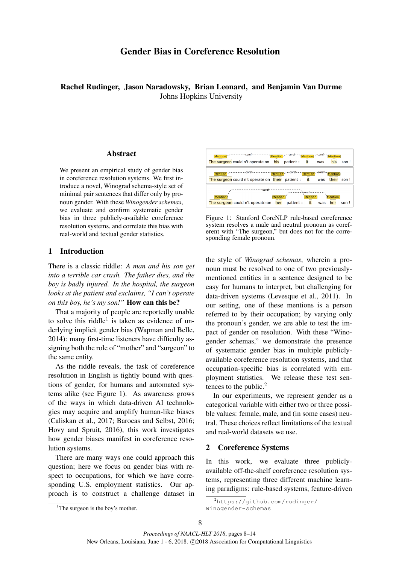# Gender Bias in Coreference Resolution

Rachel Rudinger, Jason Naradowsky, Brian Leonard, and Benjamin Van Durme Johns Hopkins University

## Abstract

We present an empirical study of gender bias in coreference resolution systems. We first introduce a novel, Winograd schema-style set of minimal pair sentences that differ only by pronoun gender. With these *Winogender schemas*, we evaluate and confirm systematic gender bias in three publicly-available coreference resolution systems, and correlate this bias with real-world and textual gender statistics.

## 1 Introduction

There is a classic riddle: *A man and his son get into a terrible car crash. The father dies, and the boy is badly injured. In the hospital, the surgeon looks at the patient and exclaims, "I can't operate on this boy, he's my son!"* How can this be?

That a majority of people are reportedly unable to solve this riddle<sup>1</sup> is taken as evidence of underlying implicit gender bias (Wapman and Belle, 2014): many first-time listeners have difficulty assigning both the role of "mother" and "surgeon" to the same entity.

As the riddle reveals, the task of coreference resolution in English is tightly bound with questions of gender, for humans and automated systems alike (see Figure 1). As awareness grows of the ways in which data-driven AI technologies may acquire and amplify human-like biases (Caliskan et al., 2017; Barocas and Selbst, 2016; Hovy and Spruit, 2016), this work investigates how gender biases manifest in coreference resolution systems.

There are many ways one could approach this question; here we focus on gender bias with respect to occupations, for which we have corresponding U.S. employment statistics. Our approach is to construct a challenge dataset in



Figure 1: Stanford CoreNLP rule-based coreference system resolves a male and neutral pronoun as coreferent with "The surgeon," but does not for the corresponding female pronoun.

the style of *Winograd schemas*, wherein a pronoun must be resolved to one of two previouslymentioned entities in a sentence designed to be easy for humans to interpret, but challenging for data-driven systems (Levesque et al., 2011). In our setting, one of these mentions is a person referred to by their occupation; by varying only the pronoun's gender, we are able to test the impact of gender on resolution. With these "Winogender schemas," we demonstrate the presence of systematic gender bias in multiple publiclyavailable coreference resolution systems, and that occupation-specific bias is correlated with employment statistics. We release these test sentences to the public. $<sup>2</sup>$ </sup>

In our experiments, we represent gender as a categorical variable with either two or three possible values: female, male, and (in some cases) neutral. These choices reflect limitations of the textual and real-world datasets we use.

## 2 Coreference Systems

winogender-schemas

In this work, we evaluate three publiclyavailable off-the-shelf coreference resolution systems, representing three different machine learning paradigms: rule-based systems, feature-driven

<sup>2</sup>https://github.com/rudinger/

<sup>&</sup>lt;sup>1</sup>The surgeon is the boy's mother.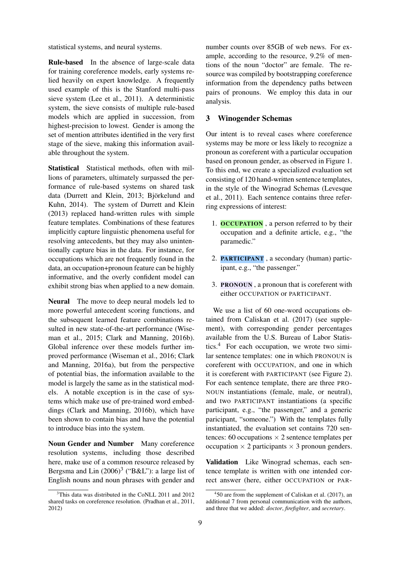statistical systems, and neural systems.

Rule-based In the absence of large-scale data for training coreference models, early systems relied heavily on expert knowledge. A frequently used example of this is the Stanford multi-pass sieve system (Lee et al., 2011). A deterministic system, the sieve consists of multiple rule-based models which are applied in succession, from highest-precision to lowest. Gender is among the set of mention attributes identified in the very first stage of the sieve, making this information available throughout the system.

Statistical Statistical methods, often with millions of parameters, ultimately surpassed the performance of rule-based systems on shared task data (Durrett and Klein, 2013; Björkelund and Kuhn, 2014). The system of Durrett and Klein (2013) replaced hand-written rules with simple feature templates. Combinations of these features implicitly capture linguistic phenomena useful for resolving antecedents, but they may also unintentionally capture bias in the data. For instance, for occupations which are not frequently found in the data, an occupation+pronoun feature can be highly informative, and the overly confident model can exhibit strong bias when applied to a new domain.

Neural The move to deep neural models led to more powerful antecedent scoring functions, and the subsequent learned feature combinations resulted in new state-of-the-art performance (Wiseman et al., 2015; Clark and Manning, 2016b). Global inference over these models further improved performance (Wiseman et al., 2016; Clark and Manning, 2016a), but from the perspective of potential bias, the information available to the model is largely the same as in the statistical models. A notable exception is in the case of systems which make use of pre-trained word embeddings (Clark and Manning, 2016b), which have been shown to contain bias and have the potential to introduce bias into the system.

Noun Gender and Number Many coreference resolution systems, including those described here, make use of a common resource released by Bergsma and Lin  $(2006)^3$  ("B&L"): a large list of English nouns and noun phrases with gender and

number counts over 85GB of web news. For example, according to the resource, 9.2% of mentions of the noun "doctor" are female. The resource was compiled by bootstrapping coreference information from the dependency paths between pairs of pronouns. We employ this data in our analysis.

## 3 Winogender Schemas

Our intent is to reveal cases where coreference systems may be more or less likely to recognize a pronoun as coreferent with a particular occupation based on pronoun gender, as observed in Figure 1. To this end, we create a specialized evaluation set consisting of 120 hand-written sentence templates, in the style of the Winograd Schemas (Levesque et al., 2011). Each sentence contains three referring expressions of interest:

- 1. **OCCUPATION**, a person referred to by their occupation and a definite article, e.g., "the paramedic."
- 2. PARTICIPANT , a secondary (human) participant, e.g., "the passenger."
- 3. PRONOUN , a pronoun that is coreferent with either OCCUPATION or PARTICIPANT.

We use a list of 60 one-word occupations obtained from Caliskan et al. (2017) (see supplement), with corresponding gender percentages available from the U.S. Bureau of Labor Statistics.<sup>4</sup> For each occupation, we wrote two similar sentence templates: one in which PRONOUN is coreferent with OCCUPATION, and one in which it is coreferent with PARTICIPANT (see Figure 2). For each sentence template, there are three PRO-NOUN instantiations (female, male, or neutral), and two PARTICIPANT instantiations (a specific participant, e.g., "the passenger," and a generic paricipant, "someone.") With the templates fully instantiated, the evaluation set contains 720 sentences: 60 occupations  $\times$  2 sentence templates per occupation  $\times$  2 participants  $\times$  3 pronoun genders.

Validation Like Winograd schemas, each sentence template is written with one intended correct answer (here, either OCCUPATION or PAR-

<sup>&</sup>lt;sup>3</sup>This data was distributed in the CoNLL 2011 and 2012 shared tasks on coreference resolution. (Pradhan et al., 2011, 2012)

<sup>4</sup> 50 are from the supplement of Caliskan et al. (2017), an additional 7 from personal communication with the authors, and three that we added: *doctor*, *firefighter*, and *secretary*.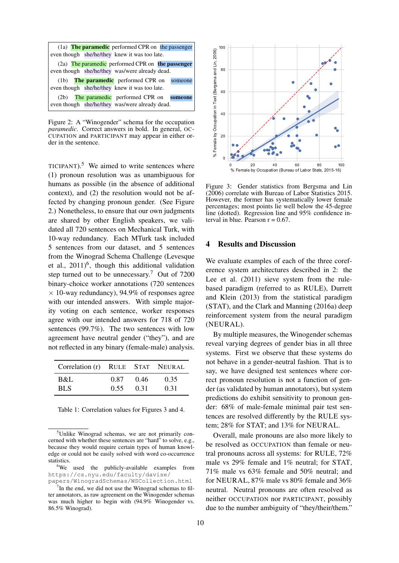|                                                | (1a) The paramedic performed CPR on the passenger |  |  |  |  |
|------------------------------------------------|---------------------------------------------------|--|--|--|--|
| even though she/he/they knew it was too late.  |                                                   |  |  |  |  |
|                                                | (2a) The paramedic performed CPR on the passenger |  |  |  |  |
| even though she/he/they was/were already dead. |                                                   |  |  |  |  |
|                                                | $(1b)$ The paramedic performed CPR on<br>someone  |  |  |  |  |
|                                                | even though she/he/they knew it was too late.     |  |  |  |  |
| (2b)                                           | The paramedic performed CPR on<br>someone         |  |  |  |  |
|                                                | even though she/he/they was/were already dead.    |  |  |  |  |

Figure 2: A "Winogender" schema for the occupation *paramedic*. Correct answers in bold. In general, OC-CUPATION and PARTICIPANT may appear in either order in the sentence.

TICIPANT). $5$  We aimed to write sentences where (1) pronoun resolution was as unambiguous for humans as possible (in the absence of additional context), and (2) the resolution would not be affected by changing pronoun gender. (See Figure 2.) Nonetheless, to ensure that our own judgments are shared by other English speakers, we validated all 720 sentences on Mechanical Turk, with 10-way redundancy. Each MTurk task included 5 sentences from our dataset, and 5 sentences from the Winograd Schema Challenge (Levesque et al.,  $2011)^6$ , though this additional validation step turned out to be unnecessary.<sup>7</sup> Out of 7200 binary-choice worker annotations (720 sentences  $\times$  10-way redundancy), 94.9% of responses agree with our intended answers. With simple majority voting on each sentence, worker responses agree with our intended answers for 718 of 720 sentences (99.7%). The two sentences with low agreement have neutral gender ("they"), and are not reflected in any binary (female-male) analysis.

| Correlation (r) RULE STAT NEURAL |      |      |      |
|----------------------------------|------|------|------|
| B&L                              | 0.87 | 0.46 | 0.35 |
| BL S                             | 0.55 | 0.31 | 0.31 |

Table 1: Correlation values for Figures 3 and 4.



Figure 3: Gender statistics from Bergsma and Lin (2006) correlate with Bureau of Labor Statistics 2015. However, the former has systematically lower female percentages; most points lie well below the 45-degree line (dotted). Regression line and 95% confidence interval in blue. Pearson  $r = 0.67$ .

#### 4 Results and Discussion

We evaluate examples of each of the three coreference system architectures described in 2: the Lee et al. (2011) sieve system from the rulebased paradigm (referred to as RULE), Durrett and Klein (2013) from the statistical paradigm (STAT), and the Clark and Manning (2016a) deep reinforcement system from the neural paradigm (NEURAL).

By multiple measures, the Winogender schemas reveal varying degrees of gender bias in all three systems. First we observe that these systems do not behave in a gender-neutral fashion. That is to say, we have designed test sentences where correct pronoun resolution is not a function of gender (as validated by human annotators), but system predictions do exhibit sensitivity to pronoun gender: 68% of male-female minimal pair test sentences are resolved differently by the RULE system; 28% for STAT; and 13% for NEURAL.

Overall, male pronouns are also more likely to be resolved as OCCUPATION than female or neutral pronouns across all systems: for RULE, 72% male vs 29% female and 1% neutral; for STAT, 71% male vs 63% female and 50% neutral; and for NEURAL, 87% male vs 80% female and 36% neutral. Neutral pronouns are often resolved as neither OCCUPATION nor PARTICIPANT, possibly due to the number ambiguity of "they/their/them."

<sup>&</sup>lt;sup>5</sup>Unlike Winograd schemas, we are not primarily concerned with whether these sentences are "hard" to solve, e.g., because they would require certain types of human knowledge or could not be easily solved with word co-occurrence statistics.

<sup>&</sup>lt;sup>6</sup>We used the publicly-available examples from https://cs.nyu.edu/faculty/davise/ papers/WinogradSchemas/WSCollection.html

 $7$ In the end, we did not use the Winograd schemas to filter annotators, as raw agreement on the Winogender schemas was much higher to begin with (94.9% Winogender vs. 86.5% Winograd).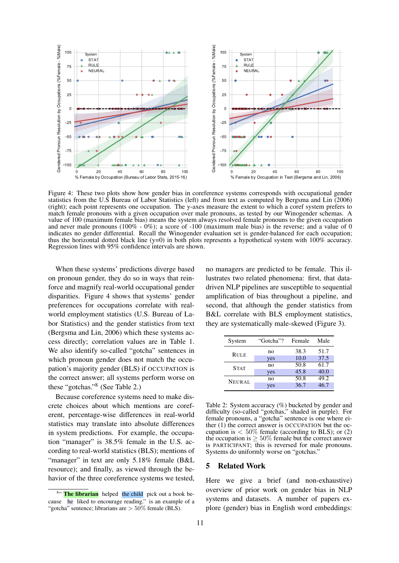

Figure 4: These two plots show how gender bias in coreference systems corresponds with occupational gender statistics from the U.S Bureau of Labor Statistics (left) and from text as computed by Bergsma and Lin (2006) (right); each point represents one occupation. The y-axes measure the extent to which a coref system prefers to match female pronouns with a given occupation over male pronouns, as tested by our Winogender schemas. A value of 100 (maximum female bias) means the system always resolved female pronouns to the given occupation and never male pronouns (100% - 0%); a score of -100 (maximum male bias) is the reverse; and a value of 0 indicates no gender differential. Recall the Winogender evaluation set is gender-balanced for each occupation; thus the horizontal dotted black line  $(y=0)$  in both plots represents a hypothetical system with 100% accuracy. Regression lines with 95% confidence intervals are shown.

When these systems' predictions diverge based on pronoun gender, they do so in ways that reinforce and magnify real-world occupational gender disparities. Figure 4 shows that systems' gender preferences for occupations correlate with realworld employment statistics (U.S. Bureau of Labor Statistics) and the gender statistics from text (Bergsma and Lin, 2006) which these systems access directly; correlation values are in Table 1. We also identify so-called "gotcha" sentences in which pronoun gender does not match the occupation's majority gender (BLS) if OCCUPATION is the correct answer; all systems perform worse on these "gotchas."<sup>8</sup> (See Table 2.)

Because coreference systems need to make discrete choices about which mentions are coreferent, percentage-wise differences in real-world statistics may translate into absolute differences in system predictions. For example, the occupation "manager" is 38.5% female in the U.S. according to real-world statistics (BLS); mentions of "manager" in text are only 5.18% female (B&L resource); and finally, as viewed through the behavior of the three coreference systems we tested,

no managers are predicted to be female. This illustrates two related phenomena: first, that datadriven NLP pipelines are susceptible to sequential amplification of bias throughout a pipeline, and second, that although the gender statistics from B&L correlate with BLS employment statistics, they are systematically male-skewed (Figure 3).

| System      | "Gotcha"? | Female | Male |
|-------------|-----------|--------|------|
| <b>RULE</b> | no        | 38.3   | 51.7 |
|             | yes       | 10.0   | 37.5 |
| <b>STAT</b> | no        | 50.8   | 61.7 |
|             | yes       | 45.8   | 40.0 |
| NEURAL      | no        | 50.8   | 49.2 |
|             | yes       | 36.7   | 46.7 |

Table 2: System accuracy (%) bucketed by gender and difficulty (so-called "gotchas," shaded in purple). For female pronouns, a "gotcha" sentence is one where either (1) the correct answer is OCCUPATION but the occupation is  $< 50\%$  female (according to BLS); or (2) the occupation is  $\geq 50\%$  female but the correct answer is PARTICIPANT; this is reversed for male pronouns. Systems do uniformly worse on "gotchas."

#### 5 Related Work

Here we give a brief (and non-exhaustive) overview of prior work on gender bias in NLP systems and datasets. A number of papers explore (gender) bias in English word embeddings:

<sup>&</sup>lt;sup>8"</sup> The librarian helped the child pick out a book because he liked to encourage reading." is an example of a "gotcha" sentence; librarians are  $> 50\%$  female (BLS).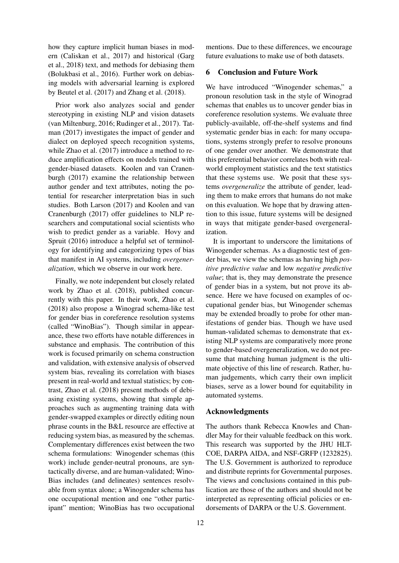how they capture implicit human biases in modern (Caliskan et al., 2017) and historical (Garg et al., 2018) text, and methods for debiasing them (Bolukbasi et al., 2016). Further work on debiasing models with adversarial learning is explored by Beutel et al. (2017) and Zhang et al. (2018).

Prior work also analyzes social and gender stereotyping in existing NLP and vision datasets (van Miltenburg, 2016; Rudinger et al., 2017). Tatman (2017) investigates the impact of gender and dialect on deployed speech recognition systems, while Zhao et al. (2017) introduce a method to reduce amplification effects on models trained with gender-biased datasets. Koolen and van Cranenburgh (2017) examine the relationship between author gender and text attributes, noting the potential for researcher interpretation bias in such studies. Both Larson (2017) and Koolen and van Cranenburgh (2017) offer guidelines to NLP researchers and computational social scientists who wish to predict gender as a variable. Hovy and Spruit (2016) introduce a helpful set of terminology for identifying and categorizing types of bias that manifest in AI systems, including *overgeneralization*, which we observe in our work here.

Finally, we note independent but closely related work by Zhao et al. (2018), published concurrently with this paper. In their work, Zhao et al. (2018) also propose a Winograd schema-like test for gender bias in coreference resolution systems (called "WinoBias"). Though similar in appearance, these two efforts have notable differences in substance and emphasis. The contribution of this work is focused primarily on schema construction and validation, with extensive analysis of observed system bias, revealing its correlation with biases present in real-world and textual statistics; by contrast, Zhao et al. (2018) present methods of debiasing existing systems, showing that simple approaches such as augmenting training data with gender-swapped examples or directly editing noun phrase counts in the B&L resource are effective at reducing system bias, as measured by the schemas. Complementary differences exist between the two schema formulations: Winogender schemas (this work) include gender-neutral pronouns, are syntactically diverse, and are human-validated; Wino-Bias includes (and delineates) sentences resolvable from syntax alone; a Winogender schema has one occupational mention and one "other participant" mention; WinoBias has two occupational

mentions. Due to these differences, we encourage future evaluations to make use of both datasets.

## 6 Conclusion and Future Work

We have introduced "Winogender schemas," a pronoun resolution task in the style of Winograd schemas that enables us to uncover gender bias in coreference resolution systems. We evaluate three publicly-available, off-the-shelf systems and find systematic gender bias in each: for many occupations, systems strongly prefer to resolve pronouns of one gender over another. We demonstrate that this preferential behavior correlates both with realworld employment statistics and the text statistics that these systems use. We posit that these systems *overgeneralize* the attribute of gender, leading them to make errors that humans do not make on this evaluation. We hope that by drawing attention to this issue, future systems will be designed in ways that mitigate gender-based overgeneralization.

It is important to underscore the limitations of Winogender schemas. As a diagnostic test of gender bias, we view the schemas as having high *positive predictive value* and low *negative predictive value*; that is, they may demonstrate the presence of gender bias in a system, but not prove its absence. Here we have focused on examples of occupational gender bias, but Winogender schemas may be extended broadly to probe for other manifestations of gender bias. Though we have used human-validated schemas to demonstrate that existing NLP systems are comparatively more prone to gender-based overgeneralization, we do not presume that matching human judgment is the ultimate objective of this line of research. Rather, human judgements, which carry their own implicit biases, serve as a lower bound for equitability in automated systems.

#### Acknowledgments

The authors thank Rebecca Knowles and Chandler May for their valuable feedback on this work. This research was supported by the JHU HLT-COE, DARPA AIDA, and NSF-GRFP (1232825). The U.S. Government is authorized to reproduce and distribute reprints for Governmental purposes. The views and conclusions contained in this publication are those of the authors and should not be interpreted as representing official policies or endorsements of DARPA or the U.S. Government.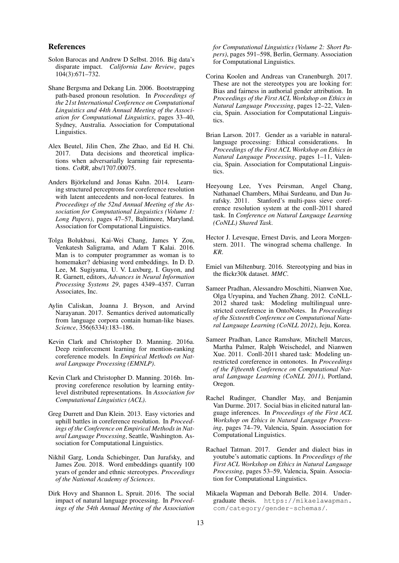#### References

- Solon Barocas and Andrew D Selbst. 2016. Big data's disparate impact. *California Law Review*, pages 104(3):671–732.
- Shane Bergsma and Dekang Lin. 2006. Bootstrapping path-based pronoun resolution. In *Proceedings of the 21st International Conference on Computational Linguistics and 44th Annual Meeting of the Association for Computational Linguistics*, pages 33–40, Sydney, Australia. Association for Computational Linguistics.
- Alex Beutel, Jilin Chen, Zhe Zhao, and Ed H. Chi. 2017. Data decisions and theoretical implications when adversarially learning fair representations. *CoRR*, abs/1707.00075.
- Anders Björkelund and Jonas Kuhn. 2014. Learning structured perceptrons for coreference resolution with latent antecedents and non-local features. In *Proceedings of the 52nd Annual Meeting of the Association for Computational Linguistics (Volume 1: Long Papers)*, pages 47–57, Baltimore, Maryland. Association for Computational Linguistics.
- Tolga Bolukbasi, Kai-Wei Chang, James Y Zou, Venkatesh Saligrama, and Adam T Kalai. 2016. Man is to computer programmer as woman is to homemaker? debiasing word embeddings. In D. D. Lee, M. Sugiyama, U. V. Luxburg, I. Guyon, and R. Garnett, editors, *Advances in Neural Information Processing Systems 29*, pages 4349–4357. Curran Associates, Inc.
- Aylin Caliskan, Joanna J. Bryson, and Arvind Narayanan. 2017. Semantics derived automatically from language corpora contain human-like biases. *Science*, 356(6334):183–186.
- Kevin Clark and Christopher D. Manning. 2016a. Deep reinforcement learning for mention-ranking coreference models. In *Empirical Methods on Natural Language Processing (EMNLP)*.
- Kevin Clark and Christopher D. Manning. 2016b. Improving coreference resolution by learning entitylevel distributed representations. In *Association for Computational Linguistics (ACL)*.
- Greg Durrett and Dan Klein. 2013. Easy victories and uphill battles in coreference resolution. In *Proceedings of the Conference on Empirical Methods in Natural Language Processing*, Seattle, Washington. Association for Computational Linguistics.
- Nikhil Garg, Londa Schiebinger, Dan Jurafsky, and James Zou. 2018. Word embeddings quantify 100 years of gender and ethnic stereotypes. *Proceedings of the National Academy of Sciences*.
- Dirk Hovy and Shannon L. Spruit. 2016. The social impact of natural language processing. In *Proceedings of the 54th Annual Meeting of the Association*

*for Computational Linguistics (Volume 2: Short Papers)*, pages 591–598, Berlin, Germany. Association for Computational Linguistics.

- Corina Koolen and Andreas van Cranenburgh. 2017. These are not the stereotypes you are looking for: Bias and fairness in authorial gender attribution. In *Proceedings of the First ACL Workshop on Ethics in Natural Language Processing*, pages 12–22, Valencia, Spain. Association for Computational Linguistics.
- Brian Larson. 2017. Gender as a variable in naturallanguage processing: Ethical considerations. In *Proceedings of the First ACL Workshop on Ethics in Natural Language Processing*, pages 1–11, Valencia, Spain. Association for Computational Linguistics.
- Heeyoung Lee, Yves Peirsman, Angel Chang, Nathanael Chambers, Mihai Surdeanu, and Dan Jurafsky. 2011. Stanford's multi-pass sieve coreference resolution system at the conll-2011 shared task. In *Conference on Natural Language Learning (CoNLL) Shared Task*.
- Hector J. Levesque, Ernest Davis, and Leora Morgenstern. 2011. The winograd schema challenge. In *KR*.
- Emiel van Miltenburg. 2016. Stereotyping and bias in the flickr30k dataset. *MMC*.
- Sameer Pradhan, Alessandro Moschitti, Nianwen Xue, Olga Uryupina, and Yuchen Zhang. 2012. CoNLL-2012 shared task: Modeling multilingual unrestricted coreference in OntoNotes. In *Proceedings of the Sixteenth Conference on Computational Natural Language Learning (CoNLL 2012)*, Jeju, Korea.
- Sameer Pradhan, Lance Ramshaw, Mitchell Marcus, Martha Palmer, Ralph Weischedel, and Nianwen Xue. 2011. Conll-2011 shared task: Modeling unrestricted coreference in ontonotes. In *Proceedings of the Fifteenth Conference on Computational Natural Language Learning (CoNLL 2011)*, Portland, Oregon.
- Rachel Rudinger, Chandler May, and Benjamin Van Durme. 2017. Social bias in elicited natural language inferences. In *Proceedings of the First ACL Workshop on Ethics in Natural Language Processing*, pages 74–79, Valencia, Spain. Association for Computational Linguistics.
- Rachael Tatman. 2017. Gender and dialect bias in youtube's automatic captions. In *Proceedings of the First ACL Workshop on Ethics in Natural Language Processing*, pages 53–59, Valencia, Spain. Association for Computational Linguistics.
- Mikaela Wapman and Deborah Belle. 2014. Undergraduate thesis. https://mikaelawapman. com/category/gender-schemas/.